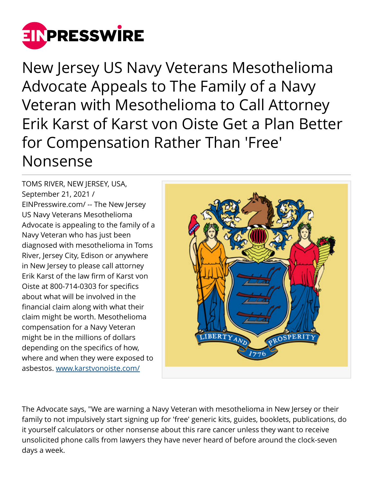

New Jersey US Navy Veterans Mesothelioma Advocate Appeals to The Family of a Navy Veteran with Mesothelioma to Call Attorney Erik Karst of Karst von Oiste Get a Plan Better for Compensation Rather Than 'Free' Nonsense

TOMS RIVER, NEW JERSEY, USA, September 21, 2021 / [EINPresswire.com](http://www.einpresswire.com)/ -- The New Jersey US Navy Veterans Mesothelioma Advocate is appealing to the family of a Navy Veteran who has just been diagnosed with mesothelioma in Toms River, Jersey City, Edison or anywhere in New Jersey to please call attorney Erik Karst of the law firm of Karst von Oiste at 800-714-0303 for specifics about what will be involved in the financial claim along with what their claim might be worth. Mesothelioma compensation for a Navy Veteran might be in the millions of dollars depending on the specifics of how, where and when they were exposed to asbestos. [www.karstvonoiste.com/](http://www.karstvonoiste.com/)



The Advocate says, "We are warning a Navy Veteran with mesothelioma in New Jersey or their family to not impulsively start signing up for 'free' generic kits, guides, booklets, publications, do it yourself calculators or other nonsense about this rare cancer unless they want to receive unsolicited phone calls from lawyers they have never heard of before around the clock-seven days a week.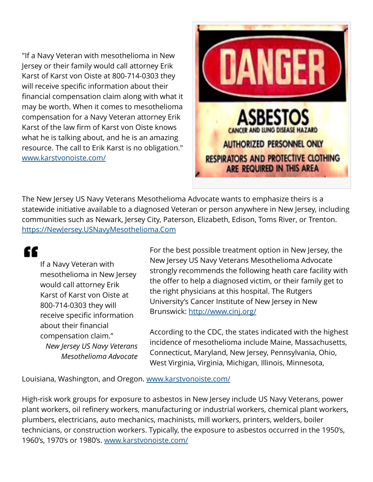"If a Navy Veteran with mesothelioma in New Jersey or their family would call attorney Erik Karst of Karst von Oiste at 800-714-0303 they will receive specific information about their financial compensation claim along with what it may be worth. When it comes to mesothelioma compensation for a Navy Veteran attorney Erik Karst of the law firm of Karst von Oiste knows what he is talking about, and he is an amazing resource. The call to Erik Karst is no obligation." [www.karstvonoiste.com/](http://www.karstvonoiste.com/) 



The New Jersey US Navy Veterans Mesothelioma Advocate wants to emphasize theirs is a statewide initiative available to a diagnosed Veteran or person anywhere in New Jersey, including communities such as Newark, Jersey City, Paterson, Elizabeth, Edison, Toms River, or Trenton. <https://NewJersey.USNavyMesothelioma.Com>

## "

If a Navy Veteran with mesothelioma in New Jersey would call attorney Erik Karst of Karst von Oiste at 800-714-0303 they will receive specific information about their financial compensation claim." *New Jersey US Navy Veterans Mesothelioma Advocate*

For the best possible treatment option in New Jersey, the New Jersey US Navy Veterans Mesothelioma Advocate strongly recommends the following heath care facility with the offer to help a diagnosed victim, or their family get to the right physicians at this hospital. The Rutgers University's Cancer Institute of New Jersey in New Brunswick: <http://www.cinj.org/>

According to the CDC, the states indicated with the highest incidence of mesothelioma include Maine, Massachusetts, Connecticut, Maryland, New Jersey, Pennsylvania, Ohio, West Virginia, Virginia, Michigan, Illinois, Minnesota,

Louisiana, Washington, and Oregon. [www.karstvonoiste.com/](http://www.karstvonoiste.com/)

High-risk work groups for exposure to asbestos in New Jersey include US Navy Veterans, power plant workers, oil refinery workers, manufacturing or industrial workers, chemical plant workers, plumbers, electricians, auto mechanics, machinists, mill workers, printers, welders, boiler technicians, or construction workers. Typically, the exposure to asbestos occurred in the 1950's, 1960's, 1970's or 1980's. [www.karstvonoiste.com/](http://www.karstvonoiste.com/)